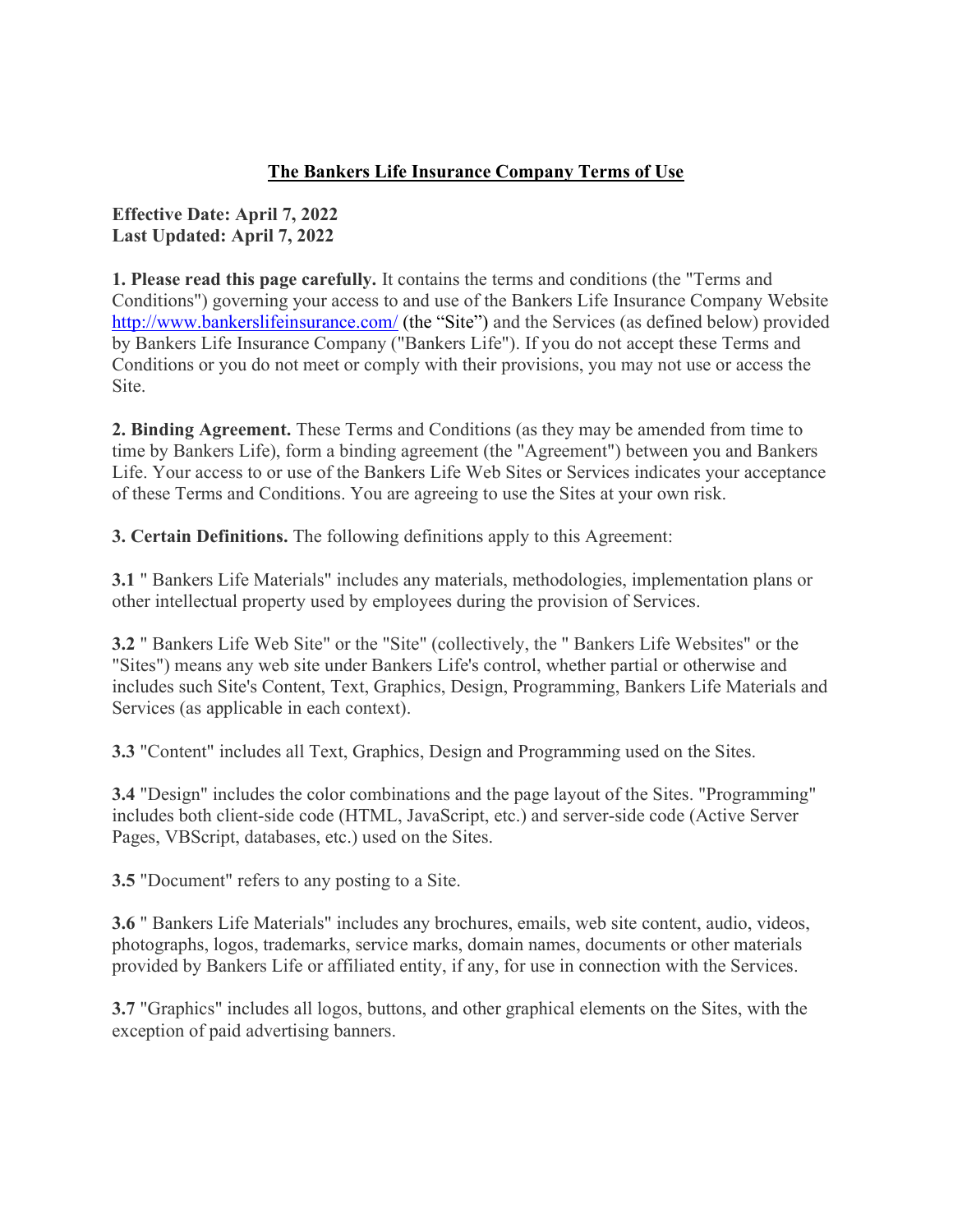## The Bankers Life Insurance Company Terms of Use

### Effective Date: April 7, 2022 Last Updated: April 7, 2022

1. Please read this page carefully. It contains the terms and conditions (the "Terms and Conditions") governing your access to and use of the Bankers Life Insurance Company Website http://www.bankerslifeinsurance.com/ (the "Site") and the Services (as defined below) provided by Bankers Life Insurance Company ("Bankers Life"). If you do not accept these Terms and Conditions or you do not meet or comply with their provisions, you may not use or access the Site.

2. Binding Agreement. These Terms and Conditions (as they may be amended from time to time by Bankers Life), form a binding agreement (the "Agreement") between you and Bankers Life. Your access to or use of the Bankers Life Web Sites or Services indicates your acceptance of these Terms and Conditions. You are agreeing to use the Sites at your own risk.

3. Certain Definitions. The following definitions apply to this Agreement:

3.1 " Bankers Life Materials" includes any materials, methodologies, implementation plans or other intellectual property used by employees during the provision of Services.

3.2 " Bankers Life Web Site" or the "Site" (collectively, the " Bankers Life Websites" or the "Sites") means any web site under Bankers Life's control, whether partial or otherwise and includes such Site's Content, Text, Graphics, Design, Programming, Bankers Life Materials and Services (as applicable in each context).

3.3 "Content" includes all Text, Graphics, Design and Programming used on the Sites.

3.4 "Design" includes the color combinations and the page layout of the Sites. "Programming" includes both client-side code (HTML, JavaScript, etc.) and server-side code (Active Server Pages, VBScript, databases, etc.) used on the Sites.

3.5 "Document" refers to any posting to a Site.

3.6 " Bankers Life Materials" includes any brochures, emails, web site content, audio, videos, photographs, logos, trademarks, service marks, domain names, documents or other materials provided by Bankers Life or affiliated entity, if any, for use in connection with the Services.

3.7 "Graphics" includes all logos, buttons, and other graphical elements on the Sites, with the exception of paid advertising banners.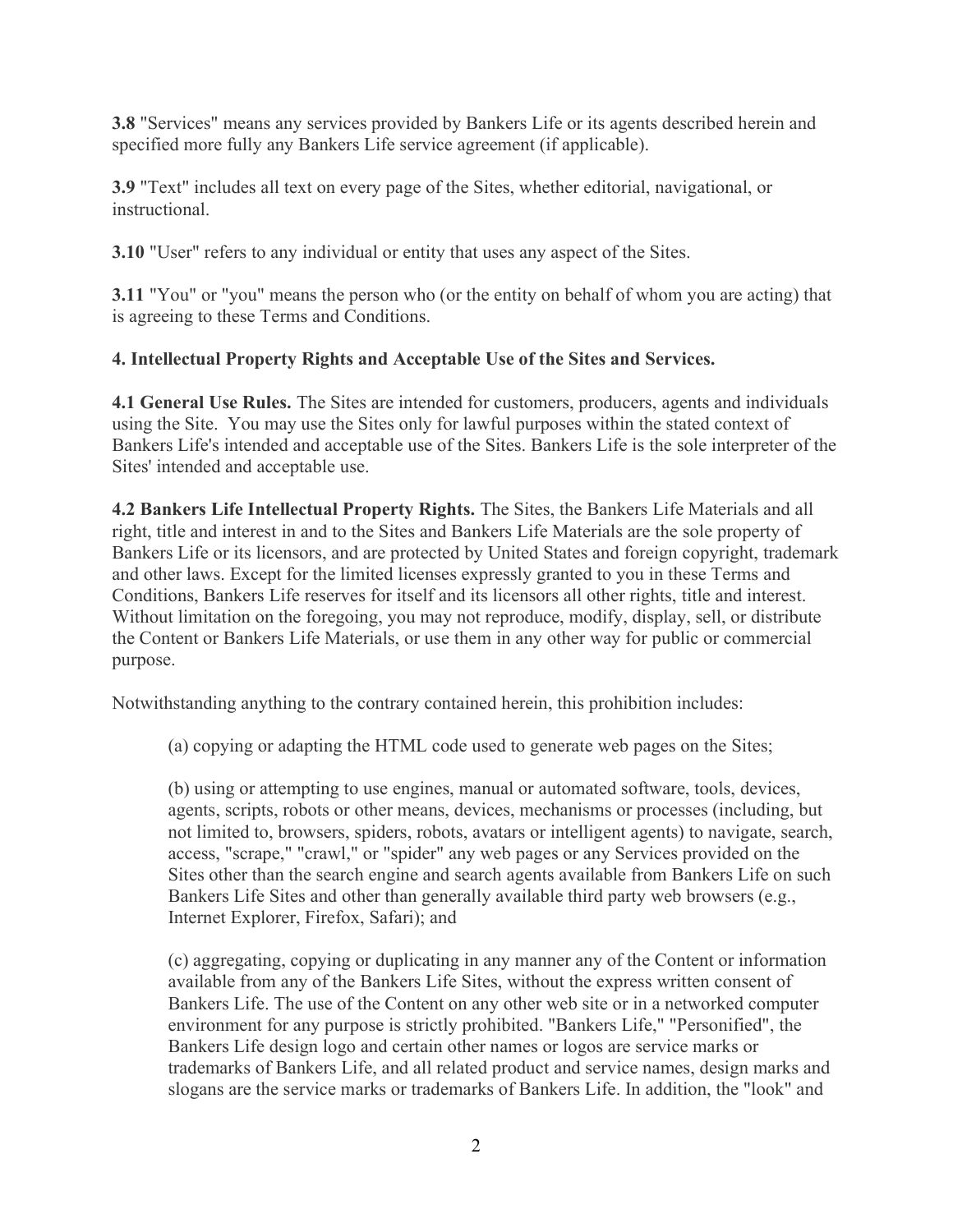3.8 "Services" means any services provided by Bankers Life or its agents described herein and specified more fully any Bankers Life service agreement (if applicable).

3.9 "Text" includes all text on every page of the Sites, whether editorial, navigational, or instructional.

3.10 "User" refers to any individual or entity that uses any aspect of the Sites.

3.11 "You" or "you" means the person who (or the entity on behalf of whom you are acting) that is agreeing to these Terms and Conditions.

## 4. Intellectual Property Rights and Acceptable Use of the Sites and Services.

4.1 General Use Rules. The Sites are intended for customers, producers, agents and individuals using the Site. You may use the Sites only for lawful purposes within the stated context of Bankers Life's intended and acceptable use of the Sites. Bankers Life is the sole interpreter of the Sites' intended and acceptable use.

4.2 Bankers Life Intellectual Property Rights. The Sites, the Bankers Life Materials and all right, title and interest in and to the Sites and Bankers Life Materials are the sole property of Bankers Life or its licensors, and are protected by United States and foreign copyright, trademark and other laws. Except for the limited licenses expressly granted to you in these Terms and Conditions, Bankers Life reserves for itself and its licensors all other rights, title and interest. Without limitation on the foregoing, you may not reproduce, modify, display, sell, or distribute the Content or Bankers Life Materials, or use them in any other way for public or commercial purpose.

Notwithstanding anything to the contrary contained herein, this prohibition includes:

(a) copying or adapting the HTML code used to generate web pages on the Sites;

(b) using or attempting to use engines, manual or automated software, tools, devices, agents, scripts, robots or other means, devices, mechanisms or processes (including, but not limited to, browsers, spiders, robots, avatars or intelligent agents) to navigate, search, access, "scrape," "crawl," or "spider" any web pages or any Services provided on the Sites other than the search engine and search agents available from Bankers Life on such Bankers Life Sites and other than generally available third party web browsers (e.g., Internet Explorer, Firefox, Safari); and

(c) aggregating, copying or duplicating in any manner any of the Content or information available from any of the Bankers Life Sites, without the express written consent of Bankers Life. The use of the Content on any other web site or in a networked computer environment for any purpose is strictly prohibited. "Bankers Life," "Personified", the Bankers Life design logo and certain other names or logos are service marks or trademarks of Bankers Life, and all related product and service names, design marks and slogans are the service marks or trademarks of Bankers Life. In addition, the "look" and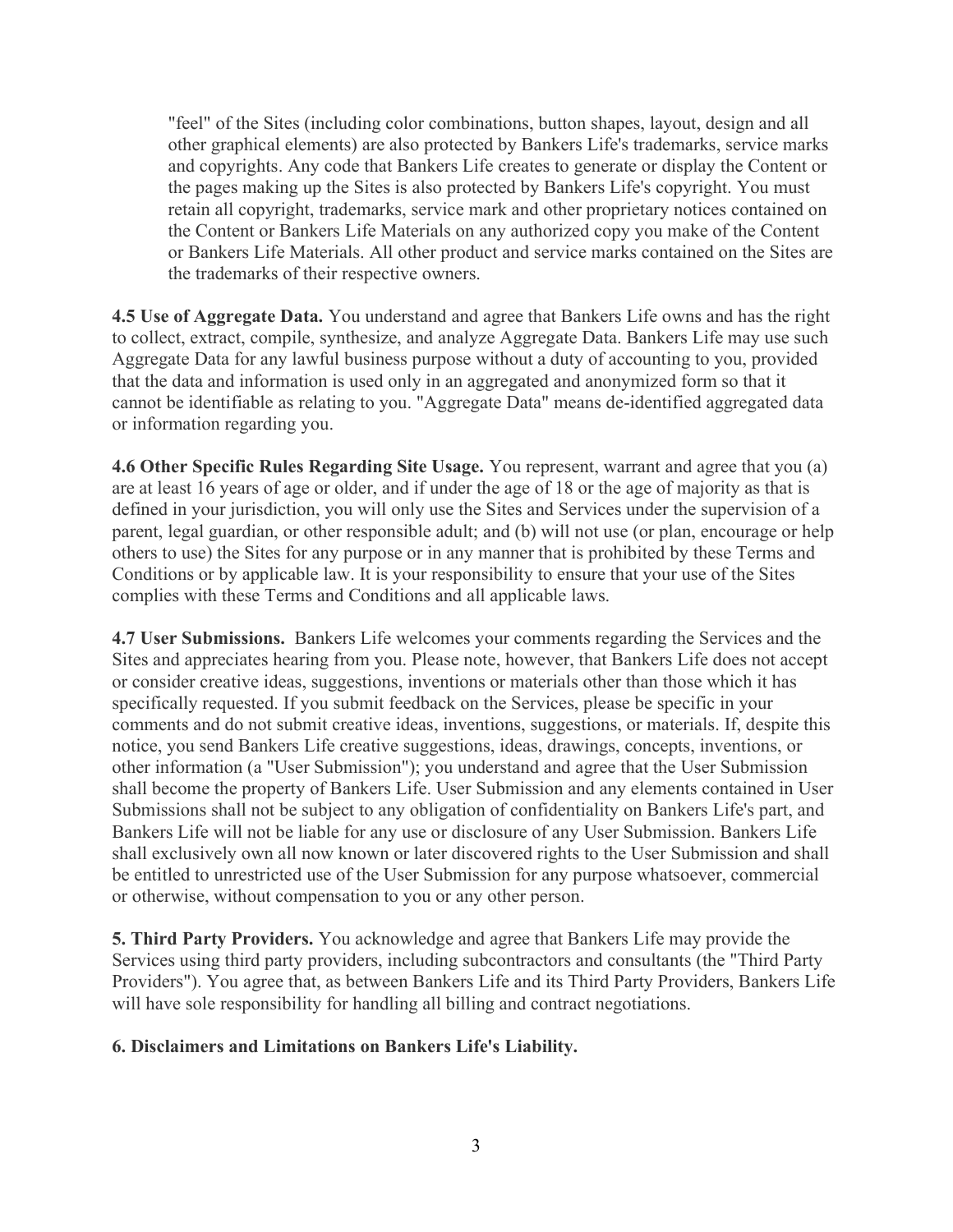"feel" of the Sites (including color combinations, button shapes, layout, design and all other graphical elements) are also protected by Bankers Life's trademarks, service marks and copyrights. Any code that Bankers Life creates to generate or display the Content or the pages making up the Sites is also protected by Bankers Life's copyright. You must retain all copyright, trademarks, service mark and other proprietary notices contained on the Content or Bankers Life Materials on any authorized copy you make of the Content or Bankers Life Materials. All other product and service marks contained on the Sites are the trademarks of their respective owners.

4.5 Use of Aggregate Data. You understand and agree that Bankers Life owns and has the right to collect, extract, compile, synthesize, and analyze Aggregate Data. Bankers Life may use such Aggregate Data for any lawful business purpose without a duty of accounting to you, provided that the data and information is used only in an aggregated and anonymized form so that it cannot be identifiable as relating to you. "Aggregate Data" means de-identified aggregated data or information regarding you.

4.6 Other Specific Rules Regarding Site Usage. You represent, warrant and agree that you (a) are at least 16 years of age or older, and if under the age of 18 or the age of majority as that is defined in your jurisdiction, you will only use the Sites and Services under the supervision of a parent, legal guardian, or other responsible adult; and (b) will not use (or plan, encourage or help others to use) the Sites for any purpose or in any manner that is prohibited by these Terms and Conditions or by applicable law. It is your responsibility to ensure that your use of the Sites complies with these Terms and Conditions and all applicable laws.

4.7 User Submissions. Bankers Life welcomes your comments regarding the Services and the Sites and appreciates hearing from you. Please note, however, that Bankers Life does not accept or consider creative ideas, suggestions, inventions or materials other than those which it has specifically requested. If you submit feedback on the Services, please be specific in your comments and do not submit creative ideas, inventions, suggestions, or materials. If, despite this notice, you send Bankers Life creative suggestions, ideas, drawings, concepts, inventions, or other information (a "User Submission"); you understand and agree that the User Submission shall become the property of Bankers Life. User Submission and any elements contained in User Submissions shall not be subject to any obligation of confidentiality on Bankers Life's part, and Bankers Life will not be liable for any use or disclosure of any User Submission. Bankers Life shall exclusively own all now known or later discovered rights to the User Submission and shall be entitled to unrestricted use of the User Submission for any purpose whatsoever, commercial or otherwise, without compensation to you or any other person.

5. Third Party Providers. You acknowledge and agree that Bankers Life may provide the Services using third party providers, including subcontractors and consultants (the "Third Party Providers"). You agree that, as between Bankers Life and its Third Party Providers, Bankers Life will have sole responsibility for handling all billing and contract negotiations.

#### 6. Disclaimers and Limitations on Bankers Life's Liability.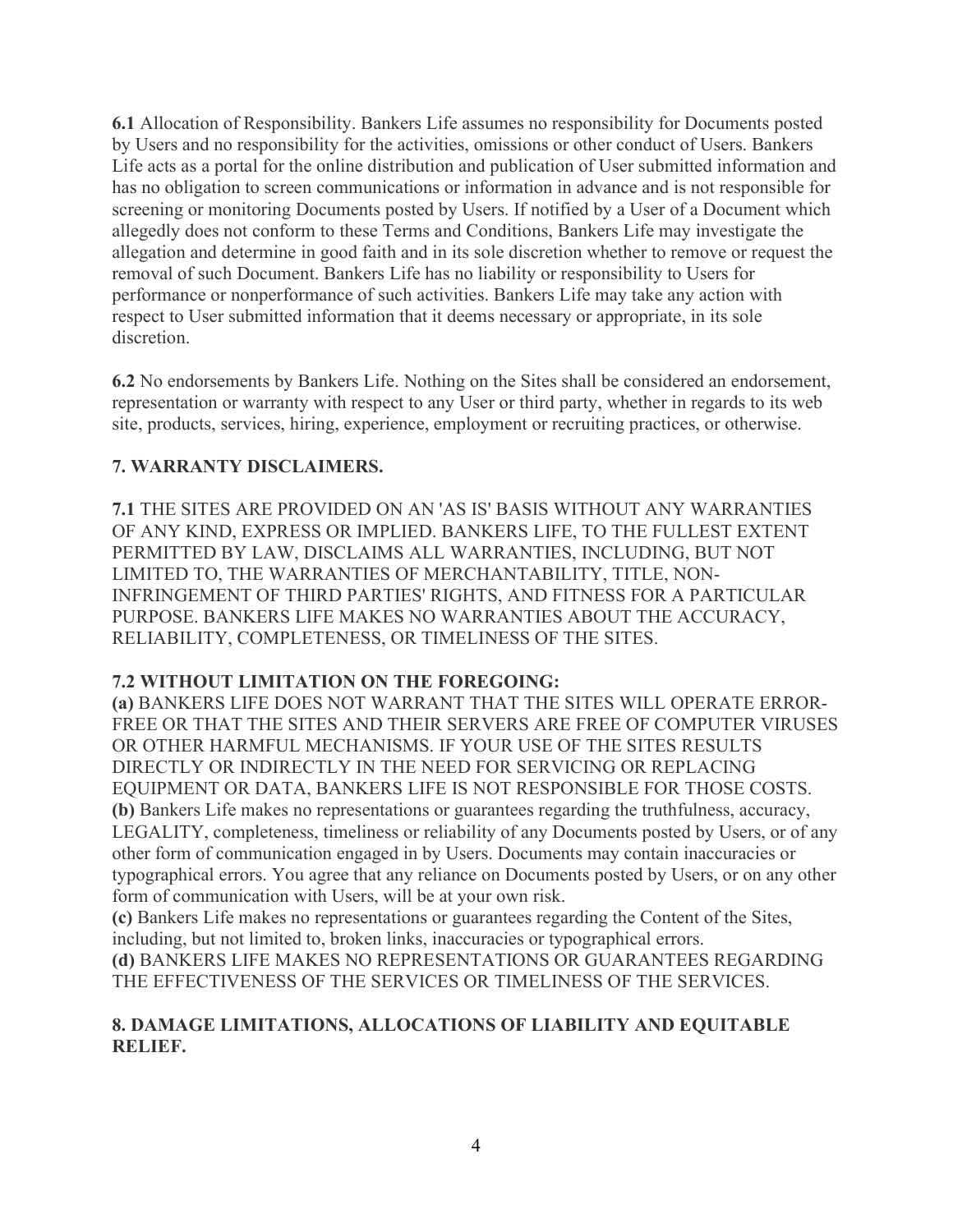6.1 Allocation of Responsibility. Bankers Life assumes no responsibility for Documents posted by Users and no responsibility for the activities, omissions or other conduct of Users. Bankers Life acts as a portal for the online distribution and publication of User submitted information and has no obligation to screen communications or information in advance and is not responsible for screening or monitoring Documents posted by Users. If notified by a User of a Document which allegedly does not conform to these Terms and Conditions, Bankers Life may investigate the allegation and determine in good faith and in its sole discretion whether to remove or request the removal of such Document. Bankers Life has no liability or responsibility to Users for performance or nonperformance of such activities. Bankers Life may take any action with respect to User submitted information that it deems necessary or appropriate, in its sole discretion.

6.2 No endorsements by Bankers Life. Nothing on the Sites shall be considered an endorsement, representation or warranty with respect to any User or third party, whether in regards to its web site, products, services, hiring, experience, employment or recruiting practices, or otherwise.

## 7. WARRANTY DISCLAIMERS.

7.1 THE SITES ARE PROVIDED ON AN 'AS IS' BASIS WITHOUT ANY WARRANTIES OF ANY KIND, EXPRESS OR IMPLIED. BANKERS LIFE, TO THE FULLEST EXTENT PERMITTED BY LAW, DISCLAIMS ALL WARRANTIES, INCLUDING, BUT NOT LIMITED TO, THE WARRANTIES OF MERCHANTABILITY, TITLE, NON-INFRINGEMENT OF THIRD PARTIES' RIGHTS, AND FITNESS FOR A PARTICULAR PURPOSE. BANKERS LIFE MAKES NO WARRANTIES ABOUT THE ACCURACY, RELIABILITY, COMPLETENESS, OR TIMELINESS OF THE SITES.

### 7.2 WITHOUT LIMITATION ON THE FOREGOING:

(a) BANKERS LIFE DOES NOT WARRANT THAT THE SITES WILL OPERATE ERROR-FREE OR THAT THE SITES AND THEIR SERVERS ARE FREE OF COMPUTER VIRUSES OR OTHER HARMFUL MECHANISMS. IF YOUR USE OF THE SITES RESULTS DIRECTLY OR INDIRECTLY IN THE NEED FOR SERVICING OR REPLACING EQUIPMENT OR DATA, BANKERS LIFE IS NOT RESPONSIBLE FOR THOSE COSTS. (b) Bankers Life makes no representations or guarantees regarding the truthfulness, accuracy, LEGALITY, completeness, timeliness or reliability of any Documents posted by Users, or of any other form of communication engaged in by Users. Documents may contain inaccuracies or typographical errors. You agree that any reliance on Documents posted by Users, or on any other form of communication with Users, will be at your own risk.

(c) Bankers Life makes no representations or guarantees regarding the Content of the Sites, including, but not limited to, broken links, inaccuracies or typographical errors. (d) BANKERS LIFE MAKES NO REPRESENTATIONS OR GUARANTEES REGARDING THE EFFECTIVENESS OF THE SERVICES OR TIMELINESS OF THE SERVICES.

### 8. DAMAGE LIMITATIONS, ALLOCATIONS OF LIABILITY AND EQUITABLE RELIEF.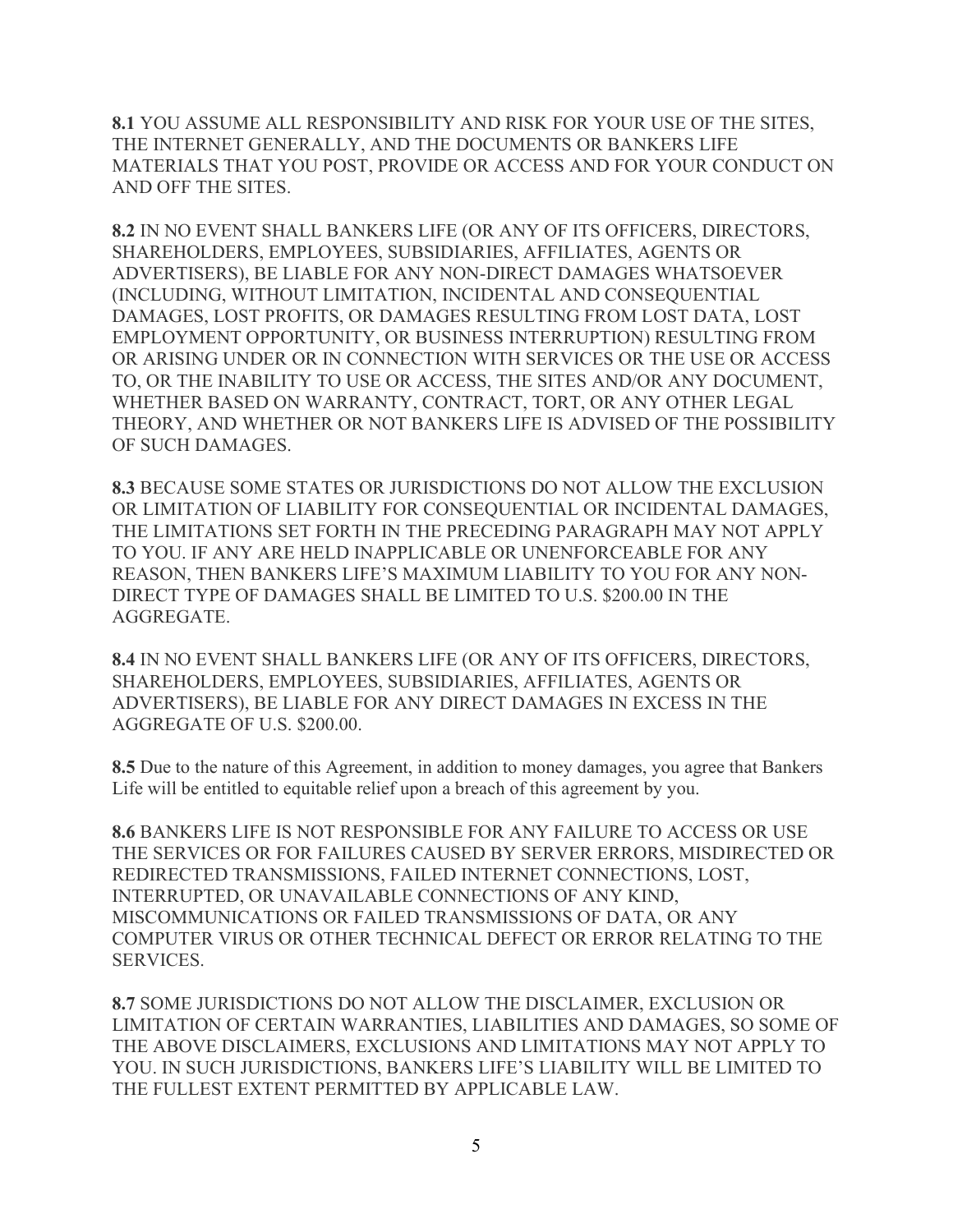8.1 YOU ASSUME ALL RESPONSIBILITY AND RISK FOR YOUR USE OF THE SITES, THE INTERNET GENERALLY, AND THE DOCUMENTS OR BANKERS LIFE MATERIALS THAT YOU POST, PROVIDE OR ACCESS AND FOR YOUR CONDUCT ON AND OFF THE SITES.

8.2 IN NO EVENT SHALL BANKERS LIFE (OR ANY OF ITS OFFICERS, DIRECTORS, SHAREHOLDERS, EMPLOYEES, SUBSIDIARIES, AFFILIATES, AGENTS OR ADVERTISERS), BE LIABLE FOR ANY NON-DIRECT DAMAGES WHATSOEVER (INCLUDING, WITHOUT LIMITATION, INCIDENTAL AND CONSEQUENTIAL DAMAGES, LOST PROFITS, OR DAMAGES RESULTING FROM LOST DATA, LOST EMPLOYMENT OPPORTUNITY, OR BUSINESS INTERRUPTION) RESULTING FROM OR ARISING UNDER OR IN CONNECTION WITH SERVICES OR THE USE OR ACCESS TO, OR THE INABILITY TO USE OR ACCESS, THE SITES AND/OR ANY DOCUMENT, WHETHER BASED ON WARRANTY, CONTRACT, TORT, OR ANY OTHER LEGAL THEORY, AND WHETHER OR NOT BANKERS LIFE IS ADVISED OF THE POSSIBILITY OF SUCH DAMAGES.

8.3 BECAUSE SOME STATES OR JURISDICTIONS DO NOT ALLOW THE EXCLUSION OR LIMITATION OF LIABILITY FOR CONSEQUENTIAL OR INCIDENTAL DAMAGES, THE LIMITATIONS SET FORTH IN THE PRECEDING PARAGRAPH MAY NOT APPLY TO YOU. IF ANY ARE HELD INAPPLICABLE OR UNENFORCEABLE FOR ANY REASON, THEN BANKERS LIFE'S MAXIMUM LIABILITY TO YOU FOR ANY NON-DIRECT TYPE OF DAMAGES SHALL BE LIMITED TO U.S. \$200.00 IN THE AGGREGATE.

8.4 IN NO EVENT SHALL BANKERS LIFE (OR ANY OF ITS OFFICERS, DIRECTORS, SHAREHOLDERS, EMPLOYEES, SUBSIDIARIES, AFFILIATES, AGENTS OR ADVERTISERS), BE LIABLE FOR ANY DIRECT DAMAGES IN EXCESS IN THE AGGREGATE OF U.S. \$200.00.

8.5 Due to the nature of this Agreement, in addition to money damages, you agree that Bankers Life will be entitled to equitable relief upon a breach of this agreement by you.

8.6 BANKERS LIFE IS NOT RESPONSIBLE FOR ANY FAILURE TO ACCESS OR USE THE SERVICES OR FOR FAILURES CAUSED BY SERVER ERRORS, MISDIRECTED OR REDIRECTED TRANSMISSIONS, FAILED INTERNET CONNECTIONS, LOST, INTERRUPTED, OR UNAVAILABLE CONNECTIONS OF ANY KIND, MISCOMMUNICATIONS OR FAILED TRANSMISSIONS OF DATA, OR ANY COMPUTER VIRUS OR OTHER TECHNICAL DEFECT OR ERROR RELATING TO THE SERVICES.

8.7 SOME JURISDICTIONS DO NOT ALLOW THE DISCLAIMER, EXCLUSION OR LIMITATION OF CERTAIN WARRANTIES, LIABILITIES AND DAMAGES, SO SOME OF THE ABOVE DISCLAIMERS, EXCLUSIONS AND LIMITATIONS MAY NOT APPLY TO YOU. IN SUCH JURISDICTIONS, BANKERS LIFE'S LIABILITY WILL BE LIMITED TO THE FULLEST EXTENT PERMITTED BY APPLICABLE LAW.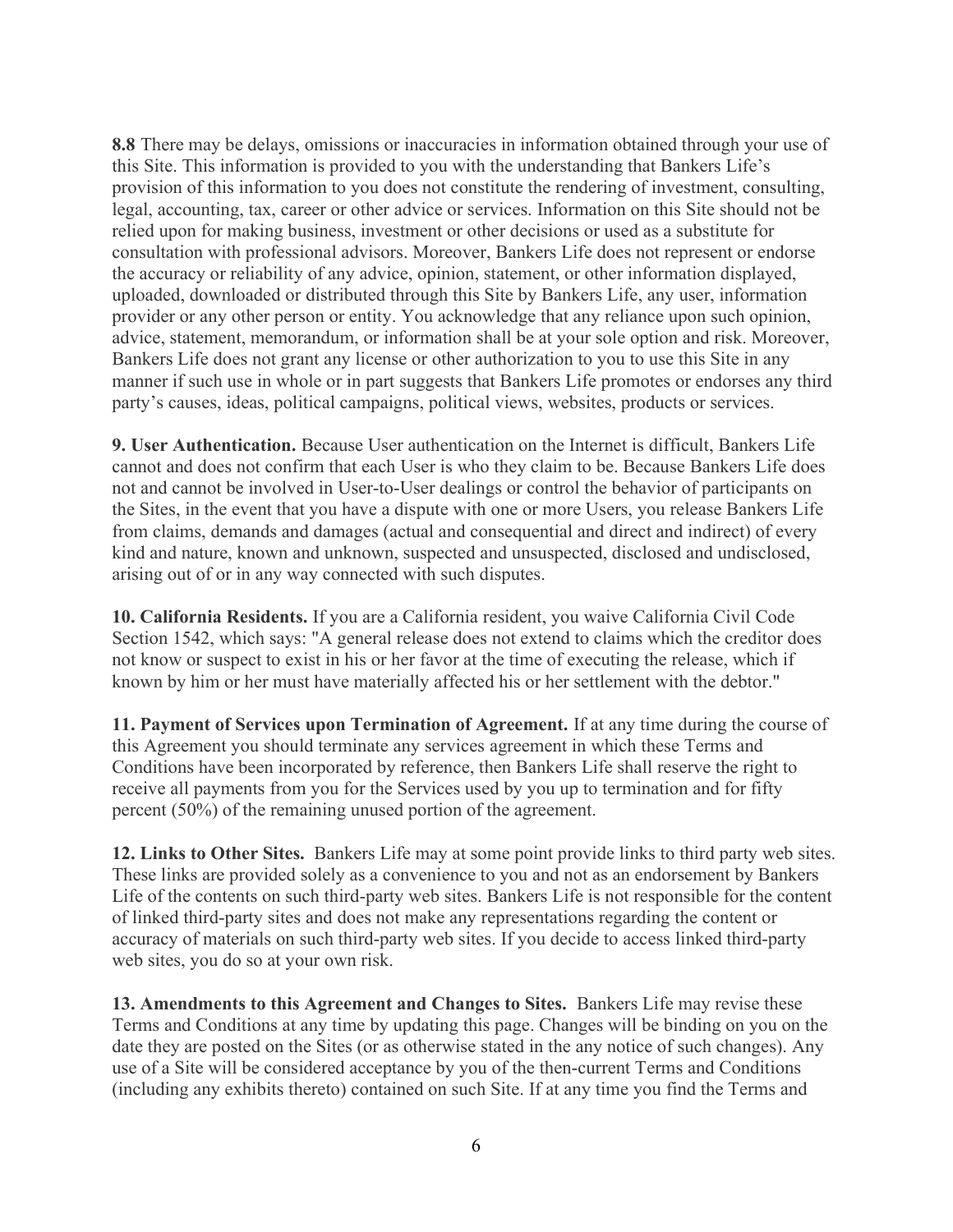8.8 There may be delays, omissions or inaccuracies in information obtained through your use of this Site. This information is provided to you with the understanding that Bankers Life's provision of this information to you does not constitute the rendering of investment, consulting, legal, accounting, tax, career or other advice or services. Information on this Site should not be relied upon for making business, investment or other decisions or used as a substitute for consultation with professional advisors. Moreover, Bankers Life does not represent or endorse the accuracy or reliability of any advice, opinion, statement, or other information displayed, uploaded, downloaded or distributed through this Site by Bankers Life, any user, information provider or any other person or entity. You acknowledge that any reliance upon such opinion, advice, statement, memorandum, or information shall be at your sole option and risk. Moreover, Bankers Life does not grant any license or other authorization to you to use this Site in any manner if such use in whole or in part suggests that Bankers Life promotes or endorses any third party's causes, ideas, political campaigns, political views, websites, products or services.

9. User Authentication. Because User authentication on the Internet is difficult, Bankers Life cannot and does not confirm that each User is who they claim to be. Because Bankers Life does not and cannot be involved in User-to-User dealings or control the behavior of participants on the Sites, in the event that you have a dispute with one or more Users, you release Bankers Life from claims, demands and damages (actual and consequential and direct and indirect) of every kind and nature, known and unknown, suspected and unsuspected, disclosed and undisclosed, arising out of or in any way connected with such disputes.

10. California Residents. If you are a California resident, you waive California Civil Code Section 1542, which says: "A general release does not extend to claims which the creditor does not know or suspect to exist in his or her favor at the time of executing the release, which if known by him or her must have materially affected his or her settlement with the debtor."

11. Payment of Services upon Termination of Agreement. If at any time during the course of this Agreement you should terminate any services agreement in which these Terms and Conditions have been incorporated by reference, then Bankers Life shall reserve the right to receive all payments from you for the Services used by you up to termination and for fifty percent (50%) of the remaining unused portion of the agreement.

12. Links to Other Sites. Bankers Life may at some point provide links to third party web sites. These links are provided solely as a convenience to you and not as an endorsement by Bankers Life of the contents on such third-party web sites. Bankers Life is not responsible for the content of linked third-party sites and does not make any representations regarding the content or accuracy of materials on such third-party web sites. If you decide to access linked third-party web sites, you do so at your own risk.

13. Amendments to this Agreement and Changes to Sites. Bankers Life may revise these Terms and Conditions at any time by updating this page. Changes will be binding on you on the date they are posted on the Sites (or as otherwise stated in the any notice of such changes). Any use of a Site will be considered acceptance by you of the then-current Terms and Conditions (including any exhibits thereto) contained on such Site. If at any time you find the Terms and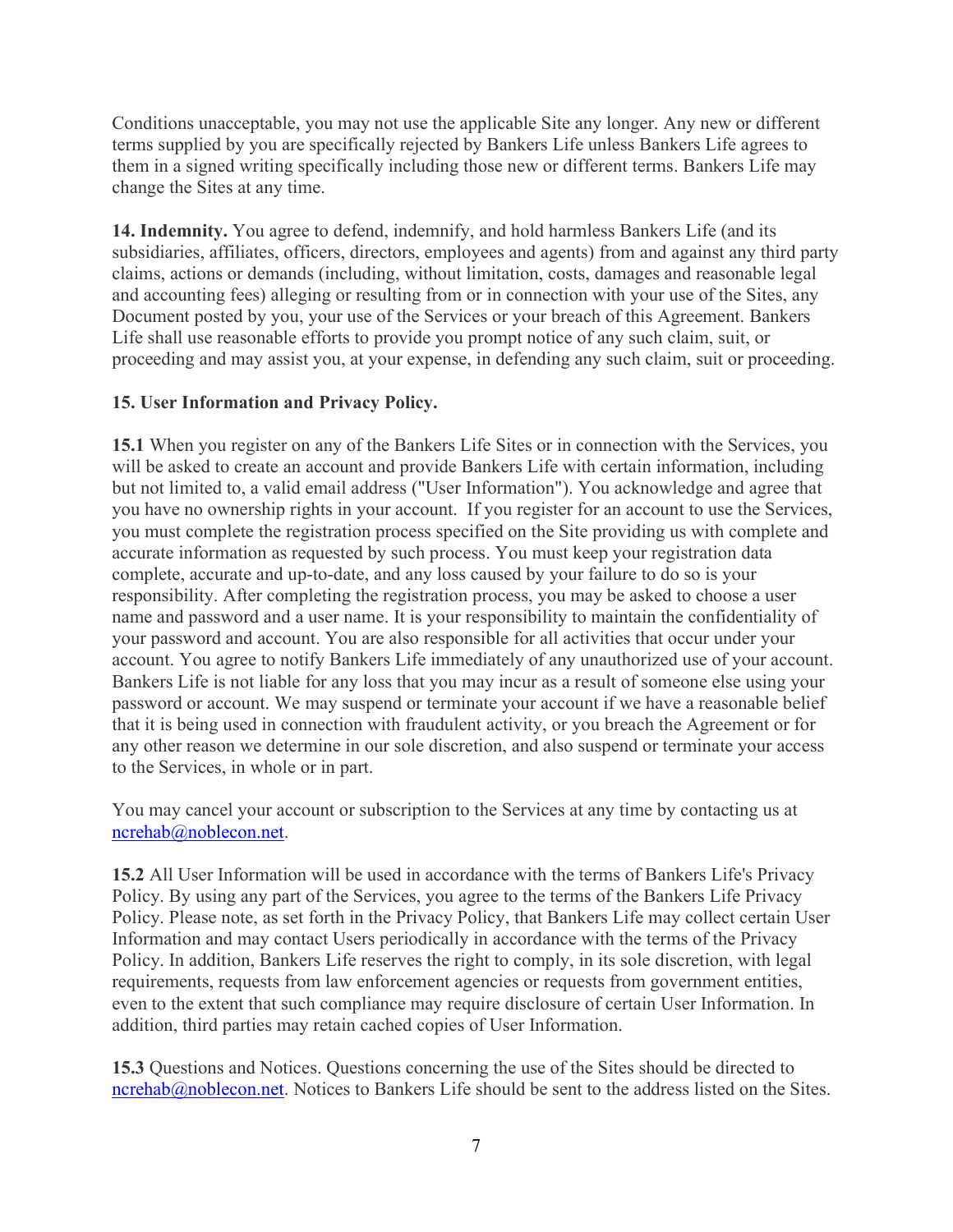Conditions unacceptable, you may not use the applicable Site any longer. Any new or different terms supplied by you are specifically rejected by Bankers Life unless Bankers Life agrees to them in a signed writing specifically including those new or different terms. Bankers Life may change the Sites at any time.

14. Indemnity. You agree to defend, indemnify, and hold harmless Bankers Life (and its subsidiaries, affiliates, officers, directors, employees and agents) from and against any third party claims, actions or demands (including, without limitation, costs, damages and reasonable legal and accounting fees) alleging or resulting from or in connection with your use of the Sites, any Document posted by you, your use of the Services or your breach of this Agreement. Bankers Life shall use reasonable efforts to provide you prompt notice of any such claim, suit, or proceeding and may assist you, at your expense, in defending any such claim, suit or proceeding.

## 15. User Information and Privacy Policy.

15.1 When you register on any of the Bankers Life Sites or in connection with the Services, you will be asked to create an account and provide Bankers Life with certain information, including but not limited to, a valid email address ("User Information"). You acknowledge and agree that you have no ownership rights in your account. If you register for an account to use the Services, you must complete the registration process specified on the Site providing us with complete and accurate information as requested by such process. You must keep your registration data complete, accurate and up-to-date, and any loss caused by your failure to do so is your responsibility. After completing the registration process, you may be asked to choose a user name and password and a user name. It is your responsibility to maintain the confidentiality of your password and account. You are also responsible for all activities that occur under your account. You agree to notify Bankers Life immediately of any unauthorized use of your account. Bankers Life is not liable for any loss that you may incur as a result of someone else using your password or account. We may suspend or terminate your account if we have a reasonable belief that it is being used in connection with fraudulent activity, or you breach the Agreement or for any other reason we determine in our sole discretion, and also suspend or terminate your access to the Services, in whole or in part.

You may cancel your account or subscription to the Services at any time by contacting us at ncrehab@noblecon.net.

15.2 All User Information will be used in accordance with the terms of Bankers Life's Privacy Policy. By using any part of the Services, you agree to the terms of the Bankers Life Privacy Policy. Please note, as set forth in the Privacy Policy, that Bankers Life may collect certain User Information and may contact Users periodically in accordance with the terms of the Privacy Policy. In addition, Bankers Life reserves the right to comply, in its sole discretion, with legal requirements, requests from law enforcement agencies or requests from government entities, even to the extent that such compliance may require disclosure of certain User Information. In addition, third parties may retain cached copies of User Information.

15.3 Questions and Notices. Questions concerning the use of the Sites should be directed to ncrehab@noblecon.net. Notices to Bankers Life should be sent to the address listed on the Sites.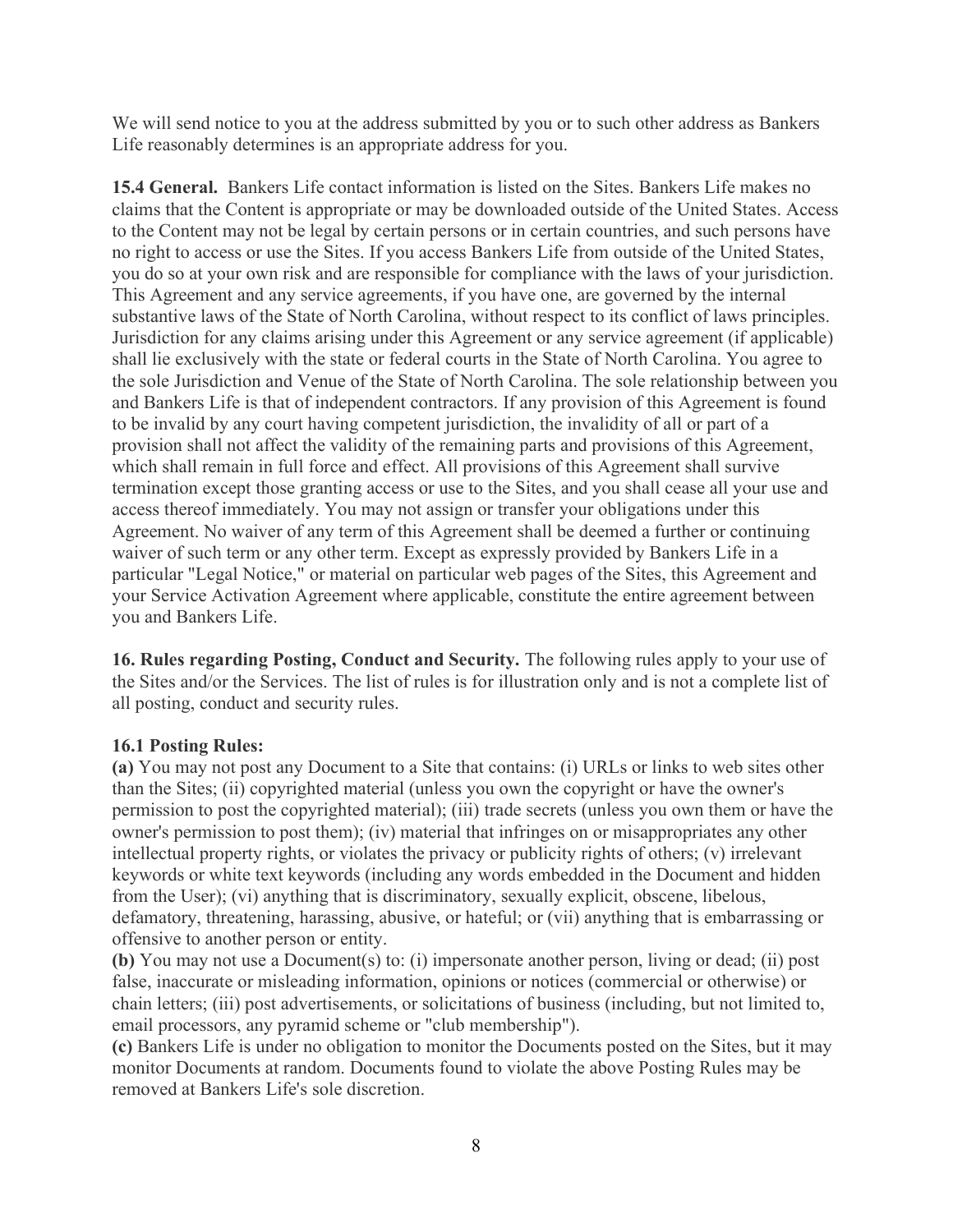We will send notice to you at the address submitted by you or to such other address as Bankers Life reasonably determines is an appropriate address for you.

15.4 General. Bankers Life contact information is listed on the Sites. Bankers Life makes no claims that the Content is appropriate or may be downloaded outside of the United States. Access to the Content may not be legal by certain persons or in certain countries, and such persons have no right to access or use the Sites. If you access Bankers Life from outside of the United States, you do so at your own risk and are responsible for compliance with the laws of your jurisdiction. This Agreement and any service agreements, if you have one, are governed by the internal substantive laws of the State of North Carolina, without respect to its conflict of laws principles. Jurisdiction for any claims arising under this Agreement or any service agreement (if applicable) shall lie exclusively with the state or federal courts in the State of North Carolina. You agree to the sole Jurisdiction and Venue of the State of North Carolina. The sole relationship between you and Bankers Life is that of independent contractors. If any provision of this Agreement is found to be invalid by any court having competent jurisdiction, the invalidity of all or part of a provision shall not affect the validity of the remaining parts and provisions of this Agreement, which shall remain in full force and effect. All provisions of this Agreement shall survive termination except those granting access or use to the Sites, and you shall cease all your use and access thereof immediately. You may not assign or transfer your obligations under this Agreement. No waiver of any term of this Agreement shall be deemed a further or continuing waiver of such term or any other term. Except as expressly provided by Bankers Life in a particular "Legal Notice," or material on particular web pages of the Sites, this Agreement and your Service Activation Agreement where applicable, constitute the entire agreement between you and Bankers Life.

16. Rules regarding Posting, Conduct and Security. The following rules apply to your use of the Sites and/or the Services. The list of rules is for illustration only and is not a complete list of all posting, conduct and security rules.

### 16.1 Posting Rules:

(a) You may not post any Document to a Site that contains: (i) URLs or links to web sites other than the Sites; (ii) copyrighted material (unless you own the copyright or have the owner's permission to post the copyrighted material); (iii) trade secrets (unless you own them or have the owner's permission to post them); (iv) material that infringes on or misappropriates any other intellectual property rights, or violates the privacy or publicity rights of others; (v) irrelevant keywords or white text keywords (including any words embedded in the Document and hidden from the User); (vi) anything that is discriminatory, sexually explicit, obscene, libelous, defamatory, threatening, harassing, abusive, or hateful; or (vii) anything that is embarrassing or offensive to another person or entity.

(b) You may not use a Document(s) to: (i) impersonate another person, living or dead; (ii) post false, inaccurate or misleading information, opinions or notices (commercial or otherwise) or chain letters; (iii) post advertisements, or solicitations of business (including, but not limited to, email processors, any pyramid scheme or "club membership").

(c) Bankers Life is under no obligation to monitor the Documents posted on the Sites, but it may monitor Documents at random. Documents found to violate the above Posting Rules may be removed at Bankers Life's sole discretion.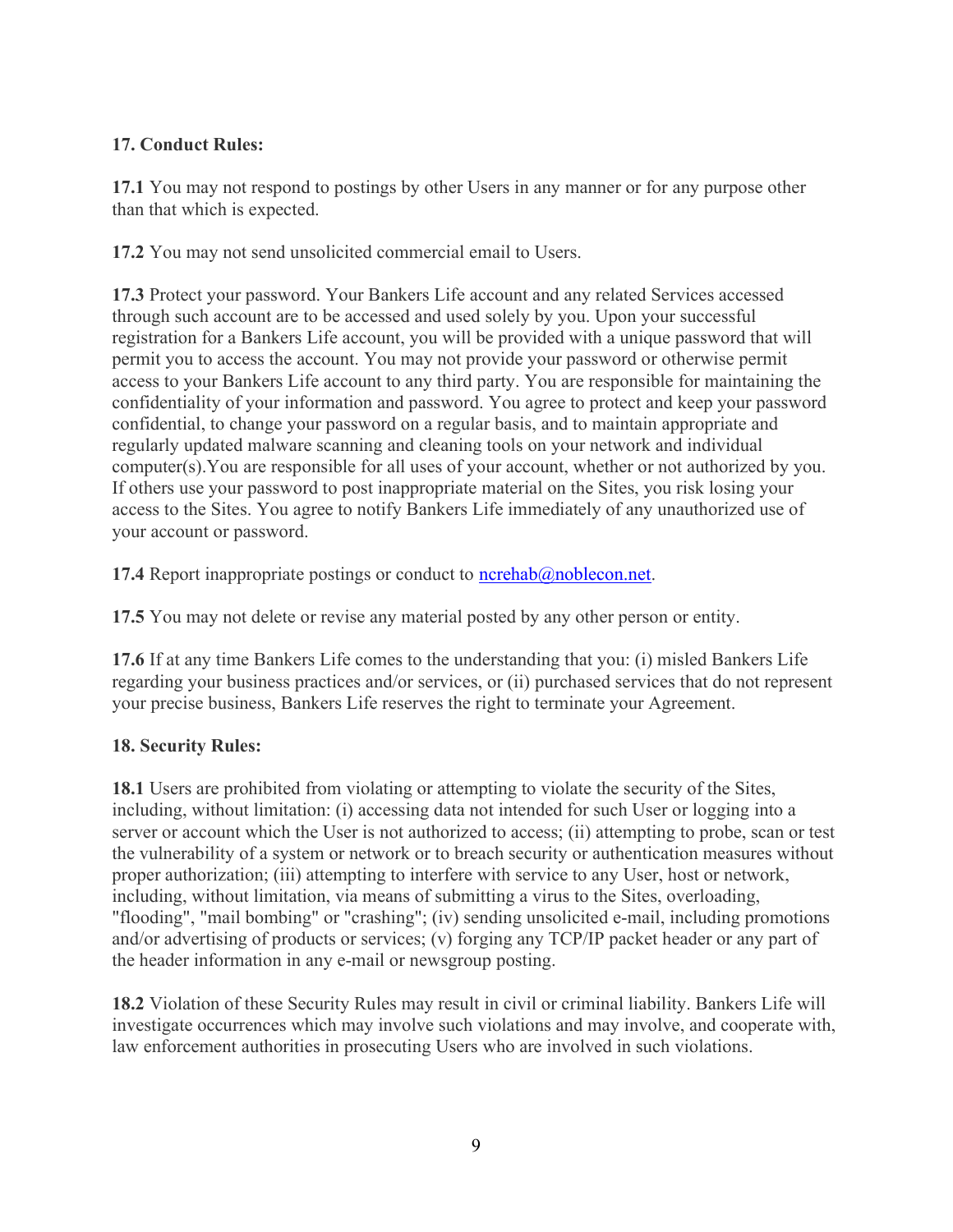## 17. Conduct Rules:

17.1 You may not respond to postings by other Users in any manner or for any purpose other than that which is expected.

17.2 You may not send unsolicited commercial email to Users.

17.3 Protect your password. Your Bankers Life account and any related Services accessed through such account are to be accessed and used solely by you. Upon your successful registration for a Bankers Life account, you will be provided with a unique password that will permit you to access the account. You may not provide your password or otherwise permit access to your Bankers Life account to any third party. You are responsible for maintaining the confidentiality of your information and password. You agree to protect and keep your password confidential, to change your password on a regular basis, and to maintain appropriate and regularly updated malware scanning and cleaning tools on your network and individual computer(s).You are responsible for all uses of your account, whether or not authorized by you. If others use your password to post inappropriate material on the Sites, you risk losing your access to the Sites. You agree to notify Bankers Life immediately of any unauthorized use of your account or password.

17.4 Report inappropriate postings or conduct to  $n$ crehab@noblecon.net.

17.5 You may not delete or revise any material posted by any other person or entity.

17.6 If at any time Bankers Life comes to the understanding that you: (i) misled Bankers Life regarding your business practices and/or services, or (ii) purchased services that do not represent your precise business, Bankers Life reserves the right to terminate your Agreement.

# 18. Security Rules:

18.1 Users are prohibited from violating or attempting to violate the security of the Sites, including, without limitation: (i) accessing data not intended for such User or logging into a server or account which the User is not authorized to access; (ii) attempting to probe, scan or test the vulnerability of a system or network or to breach security or authentication measures without proper authorization; (iii) attempting to interfere with service to any User, host or network, including, without limitation, via means of submitting a virus to the Sites, overloading, "flooding", "mail bombing" or "crashing"; (iv) sending unsolicited e-mail, including promotions and/or advertising of products or services; (v) forging any TCP/IP packet header or any part of the header information in any e-mail or newsgroup posting.

18.2 Violation of these Security Rules may result in civil or criminal liability. Bankers Life will investigate occurrences which may involve such violations and may involve, and cooperate with, law enforcement authorities in prosecuting Users who are involved in such violations.